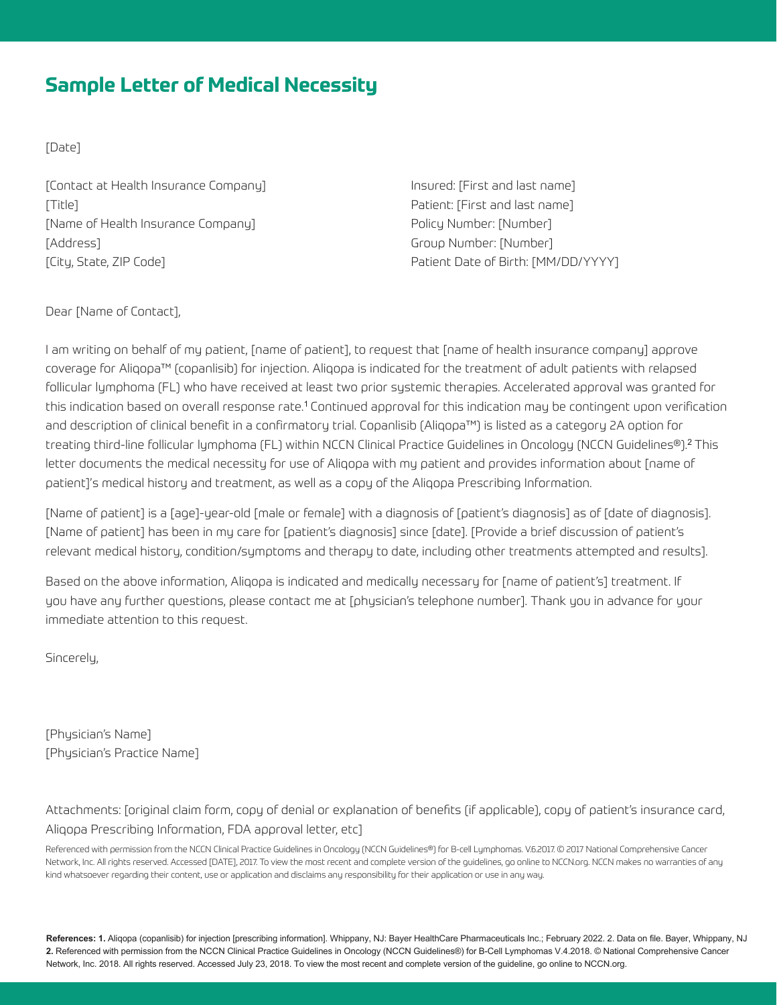## **Sample Letter of Medical Necessity**

[Date]

[Contact at Health Insurance Company] Insured: [First and last name] [Title] Patient: [First and last name] [Name of Health Insurance Company] Policy Number: [Number] [Address] Group Number: [Number] [City, State, ZIP Code] Patient Date of Birth: [MM/DD/YYYY]

Dear [Name of Contact],

I am writing on behalf of my patient, [name of patient], to request that [name of health insurance company] approve coverage for Aliqopa™ (copanlisib) for injection. Aliqopa is indicated for the treatment of adult patients with relapsed follicular lymphoma (FL) who have received at least two prior systemic therapies. Accelerated approval was granted for this indication based on overall response rate.<sup>1</sup> Continued approval for this indication may be contingent upon verification and description of clinical benefit in a confirmatory trial. Copanlisib (Aliqopa™) is listed as a category 2A option for treating third-line follicular lymphoma (FL) within NCCN Clinical Practice Guidelines in Oncology (NCCN Guidelines®).<sup>2</sup>This letter documents the medical necessity for use of Aliqopa with my patient and provides information about [name of patient]'s medical history and treatment, as well as a copy of the Aliqopa Prescribing Information.

[Name of patient] is a [age]-year-old [male or female] with a diagnosis of [patient's diagnosis] as of [date of diagnosis]. [Name of patient] has been in my care for [patient's diagnosis] since [date]. [Provide a brief discussion of patient's relevant medical history, condition/symptoms and therapy to date, including other treatments attempted and results].

Based on the above information, Aliqopa is indicated and medically necessary for [name of patient's] treatment. If you have any further questions, please contact me at [physician's telephone number]. Thank you in advance for your immediate attention to this request.

Sincerelu.

[Physician's Name] [Physician's Practice Name]

Attachments: [original claim form, copy of denial or explanation of benefits (if applicable), copy of patient's insurance card, Aliqopa Prescribing Information, FDA approval letter, etc]

Referenced with permission from the NCCN Clinical Practice Guidelines in Oncology (NCCN Guidelines®) for B-cell Lymphomas. V.6.2017. © 2017 National Comprehensive Cancer Network, Inc. All rights reserved. Accessed [DATE], 2017. To view the most recent and complete version of the guidelines, go online to NCCN.org. NCCN makes no warranties of any kind whatsoever regarding their content, use or application and disclaims any responsibility for their application or use in any way.

**References: 1.** Aliqopa (copanlisib) for injection [prescribing information]. Whippany, NJ: Bayer HealthCare Pharmaceuticals Inc.; February 2022. 2. Data on file. Bayer, Whippany, NJ **2.** Referenced with permission from the NCCN Clinical Practice Guidelines in Oncology (NCCN Guidelines®) for B-Cell Lymphomas V.4.2018. © National Comprehensive Cancer Network, Inc. 2018. All rights reserved. Accessed July 23, 2018. To view the most recent and complete version of the guideline, go online to NCCN.org.